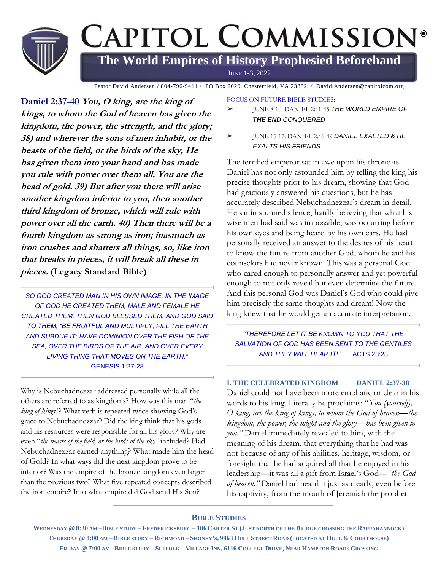

Pastor David Andersen / 804-796-9411 / PO Box 2020, Chesterfield, VA 23832 / David.Andersen@capitolcom.org

**Daniel 2:37-40 You, O king, are the king of kings, to whom the God of heaven has given the kingdom, the power, the strength, and the glory; 38) and wherever the sons of men inhabit, or the beasts of the field, or the birds of the sky, He has given them into your hand and has made you rule with power over them all. You are the head of gold. 39) But after you there will arise another kingdom inferior to you, then another third kingdom of bronze, which will rule with power over all the earth. 40) Then there will be a fourth kingdom as strong as iron; inasmuch as iron crushes and shatters all things, so, like iron that breaks in pieces, it will break all these in pieces. (Legacy Standard Bible)**

SO GOD CREATED MAN IN HIS OWN IMAGE: IN THE IMAGE *OF GOD HE CREATED THEM; MALE AND FEMALE HE CREATED THEM. THEN GOD BLESSED THEM, AND GOD SAID TO THEM, "BE FRUITFUL AND MULTIPLY; FILL THE EARTH AND SUBDUE IT; HAVE DOMINION OVER THE FISH OF THE SEA, OVER THE BIRDS OF THE AIR, AND OVER EVERY LIVING THING THAT MOVES ON THE EARTH."* GENESIS 1:27-28

Why is Nebuchadnezzar addressed personally while all the others are referred to as kingdoms? How was this man "*the king of kings"*? What verb is repeated twice showing God's grace to Nebuchadnezzar? Did the king think that his gods and his resources were responsible for all his glory? Why are even "*the beasts of the field, or the birds of the sky"* included? Had Nebuchadnezzar earned anything? What made him the head of Gold? In what ways did the next kingdom prove to be inferior? Was the empire of the bronze kingdom even larger than the previous two? What five repeated concepts described the iron empire? Into what empire did God send His Son?

FOCUS ON FUTURE BIBLE STUDIES:

- ➤ JUNE 8-10: DANIEL 2:41-45 *THE WORLD EMPIRE OF THE END CONQUERED*
- ➤ JUNE 15-17: DANIEL 2:46-49 *DANIEL EXALTED & HE EXALTS HIS FRIENDS*

The terrified emperor sat in awe upon his throne as Daniel has not only astounded him by telling the king his precise thoughts prior to his dream, showing that God had graciously answered his questions, but he has accurately described Nebuchadnezzar's dream in detail. He sat in stunned silence, hardly believing that what his wise men had said was impossible, was occurring before his own eyes and being heard by his own ears. He had personally received an answer to the desires of his heart to know the future from another God, whom he and his counselors had never known. This was a personal God who cared enough to personally answer and yet powerful enough to not only reveal but even determine the future. And this personal God was Daniel's God who could give him precisely the same thoughts and dream! Now the king knew that he would get an accurate interpretation.

*"THEREFORE LET IT BE KNOWN TO YOU THAT THE SALVATION OF GOD HAS BEEN SENT TO THE GENTILES AND THEY WILL HEAR IT!"* ACTS 28:28

## **I. THE CELEBRATED KINGDOM DANIEL 2:37-38**

Daniel could not have been more emphatic or clear in his words to his king. Literally he proclaims: "*You (yourself), O king, are the king of kings, to whom the God of heaven—the kingdom, the power, the might and the glory—has been given to you."* Daniel immediately revealed to him, with the meaning of his dream, that everything that he had was not because of any of his abilities, heritage, wisdom, or foresight that he had acquired all that he enjoyed in his leadership—it was all a gift from Israel's God—"*the God of heaven."* Daniel had heard it just as clearly, even before his captivity, from the mouth of Jeremiah the prophet

### **BIBLE STUDIES**

WEDNESDAY @ 8:30 AM-BIBLE STUDY-FREDERICKSBURG-106 CARTER ST (JUST NORTH OF THE BRIDGE CROSSING THE RAPPAHANNOCK) THURSDAY @ 8:00 AM - BIBLE STUDY - RICHMOND - SHONEY'S, 9963 HULL STREET ROAD (LOCATED AT HULL & COURTHOUSE) FRIDAY @ 7:00 AM-BIBLE STUDY-SUFFOLK-VILLAGE INN, 6116 COLLEGE DRIVE, NEAR HAMPTON ROADS CROSSING